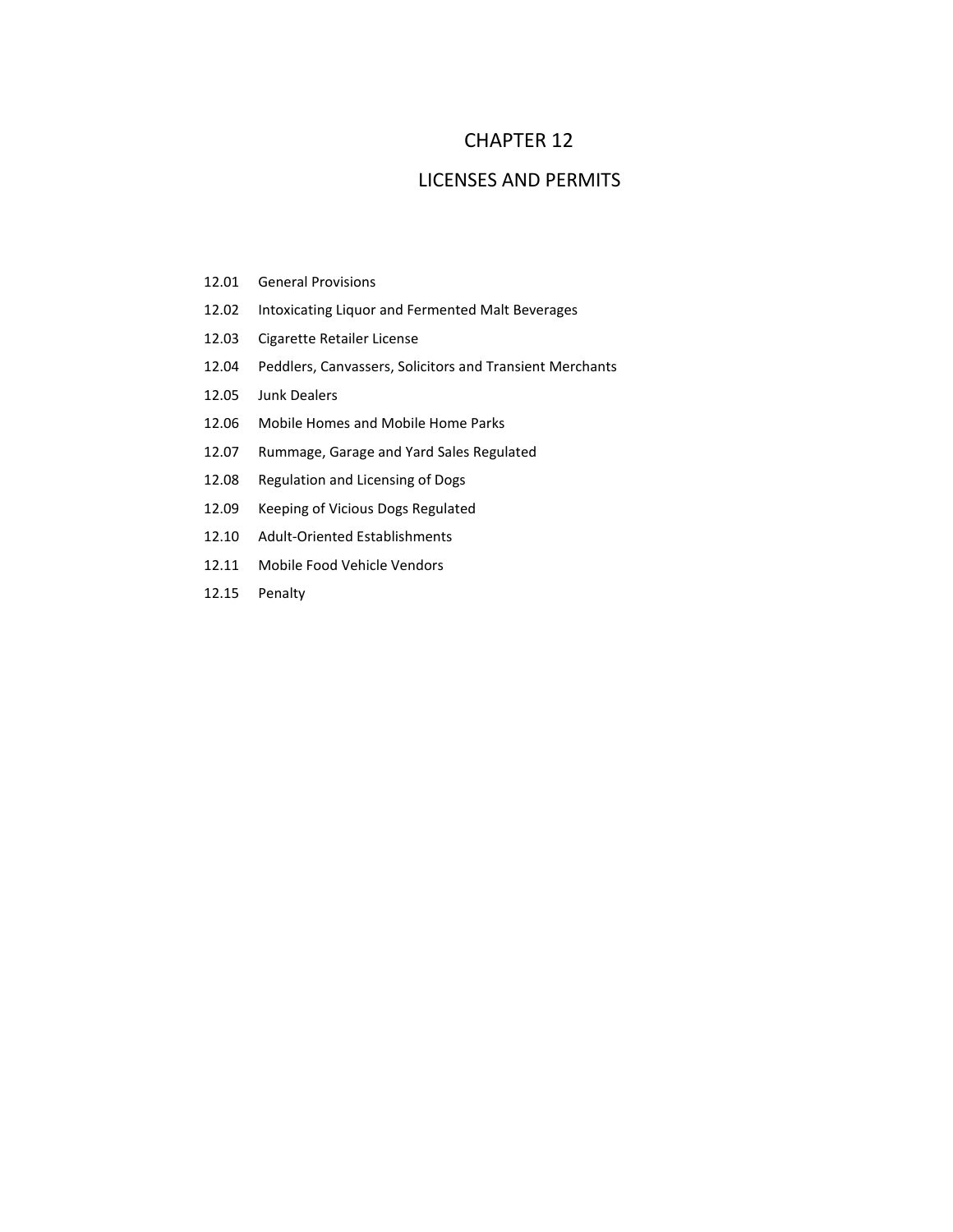# CHAPTER 12

## LICENSES AND PERMITS

- 12.01 General Provisions
- 12.02 Intoxicating Liquor and Fermented Malt Beverages
- 12.03 Cigarette Retailer License
- 12.04 Peddlers, Canvassers, Solicitors and Transient Merchants
- 12.05 Junk Dealers
- 12.06 Mobile Homes and Mobile Home Parks
- 12.07 Rummage, Garage and Yard Sales Regulated
- 12.08 Regulation and Licensing of Dogs
- 12.09 Keeping of Vicious Dogs Regulated
- 12.10 Adult‐Oriented Establishments
- 12.11 Mobile Food Vehicle Vendors
- 12.15 Penalty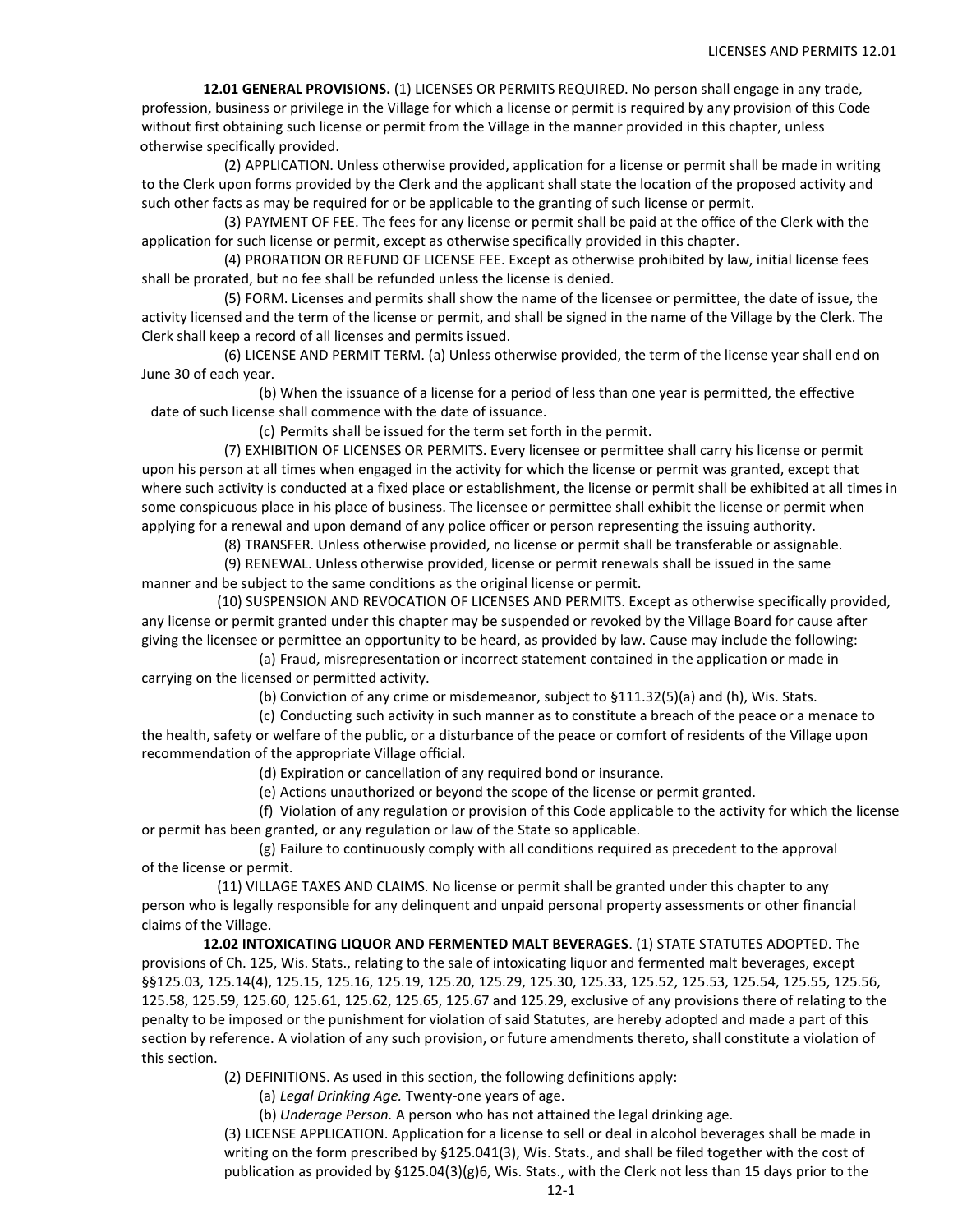**12.01 GENERAL PROVISIONS.** (1) LICENSES OR PERMITS REQUIRED. No person shall engage in any trade, profession, business or privilege in the Village for which a license or permit is required by any provision of this Code without first obtaining such license or permit from the Village in the manner provided in this chapter, unless otherwise specifically provided.

(2) APPLICATION. Unless otherwise provided, application for a license or permit shall be made in writing to the Clerk upon forms provided by the Clerk and the applicant shall state the location of the proposed activity and such other facts as may be required for or be applicable to the granting of such license or permit.

(3) PAYMENT OF FEE. The fees for any license or permit shall be paid at the office of the Clerk with the application for such license or permit, except as otherwise specifically provided in this chapter.

(4) PRORATION OR REFUND OF LICENSE FEE. Except as otherwise prohibited by law, initial license fees shall be prorated, but no fee shall be refunded unless the license is denied.

(5) FORM. Licenses and permits shall show the name of the licensee or permittee, the date of issue, the activity licensed and the term of the license or permit, and shall be signed in the name of the Village by the Clerk. The Clerk shall keep a record of all licenses and permits issued.

(6) LICENSE AND PERMIT TERM. (a) Unless otherwise provided, the term of the license year shall end on June 30 of each year.

(b) When the issuance of a license for a period of less than one year is permitted, the effective date of such license shall commence with the date of issuance.

(c) Permits shall be issued for the term set forth in the permit.

(7) EXHIBITION OF LICENSES OR PERMITS. Every licensee or permittee shall carry his license or permit upon his person at all times when engaged in the activity for which the license or permit was granted, except that where such activity is conducted at a fixed place or establishment, the license or permit shall be exhibited at all times in some conspicuous place in his place of business. The licensee or permittee shall exhibit the license or permit when applying for a renewal and upon demand of any police officer or person representing the issuing authority.

(8) TRANSFER. Unless otherwise provided, no license or permit shall be transferable or assignable.

(9) RENEWAL. Unless otherwise provided, license or permit renewals shall be issued in the same manner and be subject to the same conditions as the original license or permit.

(10) SUSPENSION AND REVOCATION OF LICENSES AND PERMITS. Except as otherwise specifically provided, any license or permit granted under this chapter may be suspended or revoked by the Village Board for cause after giving the licensee or permittee an opportunity to be heard, as provided by law. Cause may include the following:

(a) Fraud, misrepresentation or incorrect statement contained in the application or made in carrying on the licensed or permitted activity.

(b) Conviction of any crime or misdemeanor, subject to §111.32(5)(a) and (h), Wis. Stats.

(c) Conducting such activity in such manner as to constitute a breach of the peace or a menace to the health, safety or welfare of the public, or a disturbance of the peace or comfort of residents of the Village upon recommendation of the appropriate Village official.

(d) Expiration or cancellation of any required bond or insurance.

(e) Actions unauthorized or beyond the scope of the license or permit granted.

(f) Violation of any regulation or provision of this Code applicable to the activity for which the license or permit has been granted, or any regulation or law of the State so applicable.

(g) Failure to continuously comply with all conditions required as precedent to the approval of the license or permit.

(11) VILLAGE TAXES AND CLAIMS. No license or permit shall be granted under this chapter to any person who is legally responsible for any delinquent and unpaid personal property assessments or other financial claims of the Village.

**12.02 INTOXICATING LIQUOR AND FERMENTED MALT BEVERAGES**. (1) STATE STATUTES ADOPTED. The provisions of Ch. 125, Wis. Stats., relating to the sale of intoxicating liquor and fermented malt beverages, except §§125.03, 125.14(4), 125.15, 125.16, 125.19, 125.20, 125.29, 125.30, 125.33, 125.52, 125.53, 125.54, 125.55, 125.56, 125.58, 125.59, 125.60, 125.61, 125.62, 125.65, 125.67 and 125.29, exclusive of any provisions there of relating to the penalty to be imposed or the punishment for violation of said Statutes, are hereby adopted and made a part of this section by reference. A violation of any such provision, or future amendments thereto, shall constitute a violation of this section.

(2) DEFINITIONS. As used in this section, the following definitions apply:

(a) *Legal Drinking Age.* Twenty-one years of age.

(b) *Underage Person.* A person who has not attained the legal drinking age.

(3) LICENSE APPLICATION. Application for a license to sell or deal in alcohol beverages shall be made in writing on the form prescribed by §125.041(3), Wis. Stats., and shall be filed together with the cost of publication as provided by §125.04(3)(g)6, Wis. Stats., with the Clerk not less than 15 days prior to the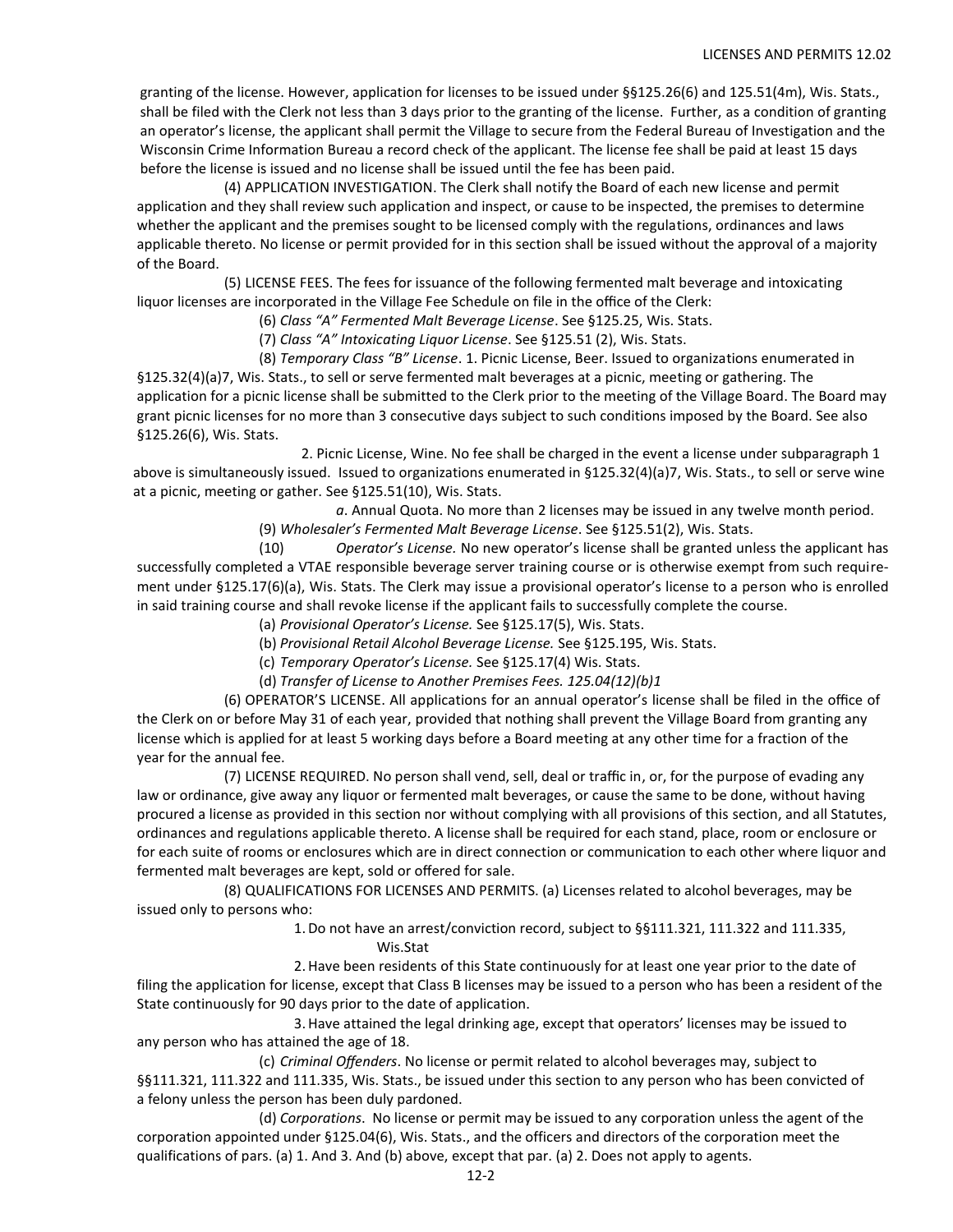granting of the license. However, application for licenses to be issued under §§125.26(6) and 125.51(4m), Wis. Stats., shall be filed with the Clerk not less than 3 days prior to the granting of the license. Further, as a condition of granting an operator's license, the applicant shall permit the Village to secure from the Federal Bureau of Investigation and the Wisconsin Crime Information Bureau a record check of the applicant. The license fee shall be paid at least 15 days before the license is issued and no license shall be issued until the fee has been paid.

(4) APPLICATION INVESTIGATION. The Clerk shall notify the Board of each new license and permit application and they shall review such application and inspect, or cause to be inspected, the premises to determine whether the applicant and the premises sought to be licensed comply with the regulations, ordinances and laws applicable thereto. No license or permit provided for in this section shall be issued without the approval of a majority of the Board.

(5) LICENSE FEES. The fees for issuance of the following fermented malt beverage and intoxicating liquor licenses are incorporated in the Village Fee Schedule on file in the office of the Clerk:

(6) *Class "A" Fermented Malt Beverage License*. See §125.25, Wis. Stats.

(7) *Class "A" Intoxicating Liquor License*. See §125.51 (2), Wis. Stats.

(8) *Temporary Class "B" License*. 1. Picnic License, Beer. Issued to organizations enumerated in §125.32(4)(a)7, Wis. Stats., to sell or serve fermented malt beverages at a picnic, meeting or gathering. The application for a picnic license shall be submitted to the Clerk prior to the meeting of the Village Board. The Board may grant picnic licenses for no more than 3 consecutive days subject to such conditions imposed by the Board. See also §125.26(6), Wis. Stats.

2. Picnic License, Wine. No fee shall be charged in the event a license under subparagraph 1 above is simultaneously issued. Issued to organizations enumerated in §125.32(4)(a)7, Wis. Stats., to sell or serve wine at a picnic, meeting or gather. See §125.51(10), Wis. Stats.

> *a*. Annual Quota. No more than 2 licenses may be issued in any twelve month period. (9) *Wholesaler's Fermented Malt Beverage License*. See §125.51(2), Wis. Stats.

(10) *Operator's License.* No new operator's license shall be granted unless the applicant has successfully completed a VTAE responsible beverage server training course or is otherwise exempt from such require‐ ment under §125.17(6)(a), Wis. Stats. The Clerk may issue a provisional operator's license to a person who is enrolled in said training course and shall revoke license if the applicant fails to successfully complete the course.

- (a) *Provisional Operator's License.* See §125.17(5), Wis. Stats.
- (b) *Provisional Retail Alcohol Beverage License.* See §125.195, Wis. Stats.
- (c) *Temporary Operator's License.* See §125.17(4) Wis. Stats.
- (d) *Transfer of License to Another Premises Fees. 125.04(12)(b)1*

(6) OPERATOR'S LICENSE. All applications for an annual operator's license shall be filed in the office of the Clerk on or before May 31 of each year, provided that nothing shall prevent the Village Board from granting any license which is applied for at least 5 working days before a Board meeting at any other time for a fraction of the year for the annual fee.

(7) LICENSE REQUIRED. No person shall vend, sell, deal or traffic in, or, for the purpose of evading any law or ordinance, give away any liquor or fermented malt beverages, or cause the same to be done, without having procured a license as provided in this section nor without complying with all provisions of this section, and all Statutes, ordinances and regulations applicable thereto. A license shall be required for each stand, place, room or enclosure or for each suite of rooms or enclosures which are in direct connection or communication to each other where liquor and fermented malt beverages are kept, sold or offered for sale.

(8) QUALIFICATIONS FOR LICENSES AND PERMITS. (a) Licenses related to alcohol beverages, may be issued only to persons who:

> 1.Do not have an arrest/conviction record, subject to §§111.321, 111.322 and 111.335, Wis.Stat

2.Have been residents of this State continuously for at least one year prior to the date of filing the application for license, except that Class B licenses may be issued to a person who has been a resident of the State continuously for 90 days prior to the date of application.

3.Have attained the legal drinking age, except that operators' licenses may be issued to any person who has attained the age of 18.

(c) *Criminal Offenders*. No license or permit related to alcohol beverages may, subject to §§111.321, 111.322 and 111.335, Wis. Stats., be issued under this section to any person who has been convicted of a felony unless the person has been duly pardoned.

(d) *Corporations*. No license or permit may be issued to any corporation unless the agent of the corporation appointed under §125.04(6), Wis. Stats., and the officers and directors of the corporation meet the qualifications of pars. (a) 1. And 3. And (b) above, except that par. (a) 2. Does not apply to agents.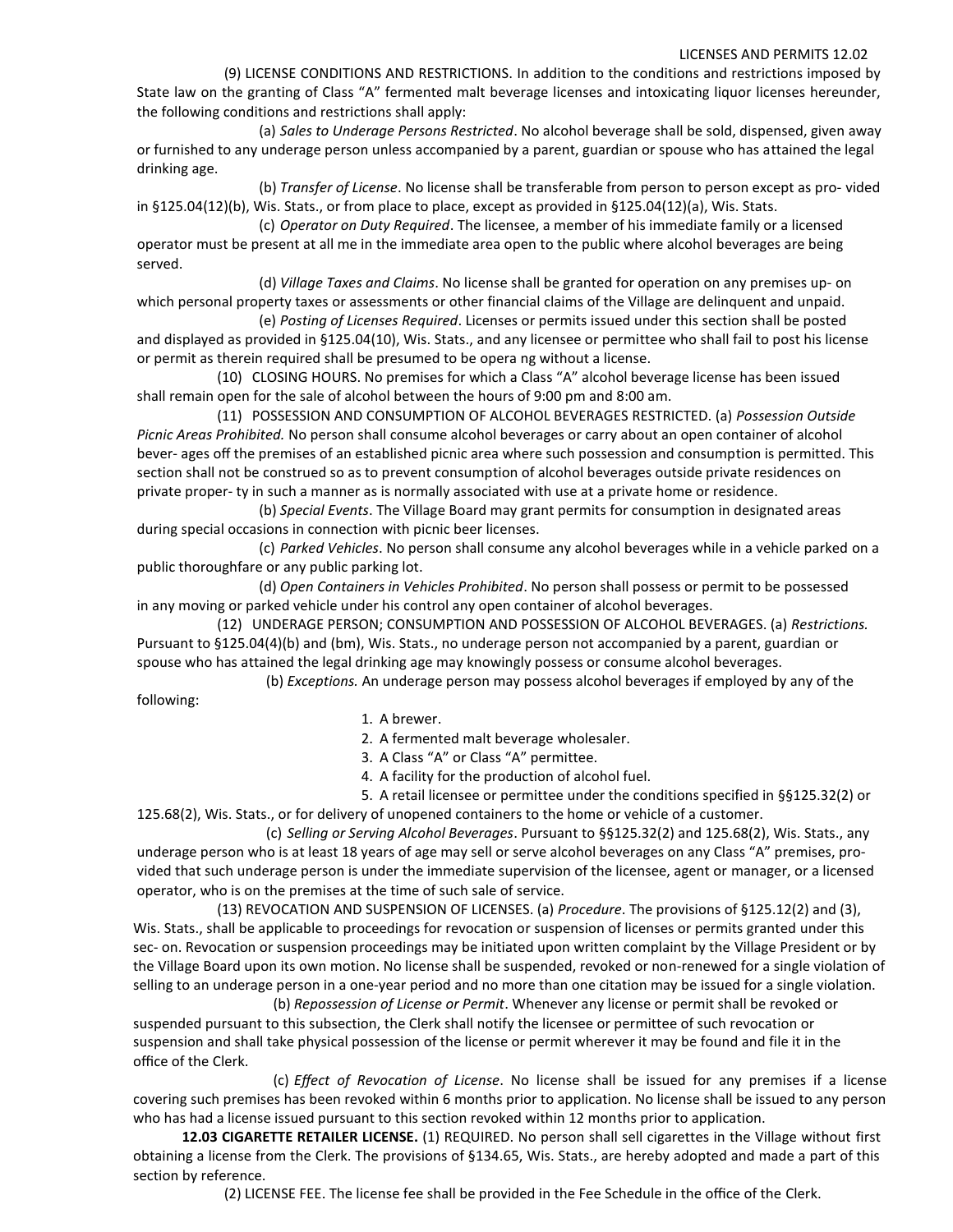(9) LICENSE CONDITIONS AND RESTRICTIONS. In addition to the conditions and restrictions imposed by State law on the granting of Class "A" fermented malt beverage licenses and intoxicating liquor licenses hereunder, the following conditions and restrictions shall apply:

(a) *Sales to Underage Persons Restricted*. No alcohol beverage shall be sold, dispensed, given away or furnished to any underage person unless accompanied by a parent, guardian or spouse who has attained the legal drinking age.

(b) *Transfer of License*. No license shall be transferable from person to person except as pro‐ vided in §125.04(12)(b), Wis. Stats., or from place to place, except as provided in §125.04(12)(a), Wis. Stats.

(c) *Operator on Duty Required*. The licensee, a member of his immediate family or a licensed operator must be present at all me in the immediate area open to the public where alcohol beverages are being served.

(d) *Village Taxes and Claims*. No license shall be granted for operation on any premises up‐ on which personal property taxes or assessments or other financial claims of the Village are delinquent and unpaid.

(e) *Posting of Licenses Required*. Licenses or permits issued under this section shall be posted and displayed as provided in §125.04(10), Wis. Stats., and any licensee or permittee who shall fail to post his license or permit as therein required shall be presumed to be opera ng without a license.

(10) CLOSING HOURS. No premises for which a Class "A" alcohol beverage license has been issued shall remain open for the sale of alcohol between the hours of 9:00 pm and 8:00 am.

(11) POSSESSION AND CONSUMPTION OF ALCOHOL BEVERAGES RESTRICTED. (a) *Possession Outside Picnic Areas Prohibited.* No person shall consume alcohol beverages or carry about an open container of alcohol bever‐ ages off the premises of an established picnic area where such possession and consumption is permitted. This section shall not be construed so as to prevent consumption of alcohol beverages outside private residences on private proper‐ ty in such a manner as is normally associated with use at a private home or residence.

(b) *Special Events*. The Village Board may grant permits for consumption in designated areas during special occasions in connection with picnic beer licenses.

(c) *Parked Vehicles*. No person shall consume any alcohol beverages while in a vehicle parked on a public thoroughfare or any public parking lot.

(d) *Open Containers in Vehicles Prohibited*. No person shall possess or permit to be possessed in any moving or parked vehicle under his control any open container of alcohol beverages.

(12) UNDERAGE PERSON; CONSUMPTION AND POSSESSION OF ALCOHOL BEVERAGES. (a) *Restrictions.* Pursuant to §125.04(4)(b) and (bm), Wis. Stats., no underage person not accompanied by a parent, guardian or spouse who has attained the legal drinking age may knowingly possess or consume alcohol beverages.

(b) *Exceptions.* An underage person may possess alcohol beverages if employed by any of the following:

1. A brewer.

2. A fermented malt beverage wholesaler.

3. A Class "A" or Class "A" permittee.

4. A facility for the production of alcohol fuel.

5. A retail licensee or permittee under the conditions specified in §§125.32(2) or 125.68(2), Wis. Stats., or for delivery of unopened containers to the home or vehicle of a customer.

(c) *Selling or Serving Alcohol Beverages*. Pursuant to §§125.32(2) and 125.68(2), Wis. Stats., any underage person who is at least 18 years of age may sell or serve alcohol beverages on any Class "A" premises, pro‐ vided that such underage person is under the immediate supervision of the licensee, agent or manager, or a licensed operator, who is on the premises at the time of such sale of service.

(13) REVOCATION AND SUSPENSION OF LICENSES. (a) *Procedure*. The provisions of §125.12(2) and (3), Wis. Stats., shall be applicable to proceedings for revocation or suspension of licenses or permits granted under this sec- on. Revocation or suspension proceedings may be initiated upon written complaint by the Village President or by the Village Board upon its own motion. No license shall be suspended, revoked or non-renewed for a single violation of selling to an underage person in a one-year period and no more than one citation may be issued for a single violation. (b) *Repossession of License or Permit*. Whenever any license or permit shall be revoked or

suspended pursuant to this subsection, the Clerk shall notify the licensee or permittee of such revocation or suspension and shall take physical possession of the license or permit wherever it may be found and file it in the office of the Clerk.

(c) *Effect of Revocation of License*. No license shall be issued for any premises if a license covering such premises has been revoked within 6 months prior to application. No license shall be issued to any person who has had a license issued pursuant to this section revoked within 12 months prior to application.

**12.03 CIGARETTE RETAILER LICENSE.** (1) REQUIRED. No person shall sell cigarettes in the Village without first obtaining a license from the Clerk. The provisions of §134.65, Wis. Stats., are hereby adopted and made a part of this section by reference.

(2) LICENSE FEE. The license fee shall be provided in the Fee Schedule in the office of the Clerk.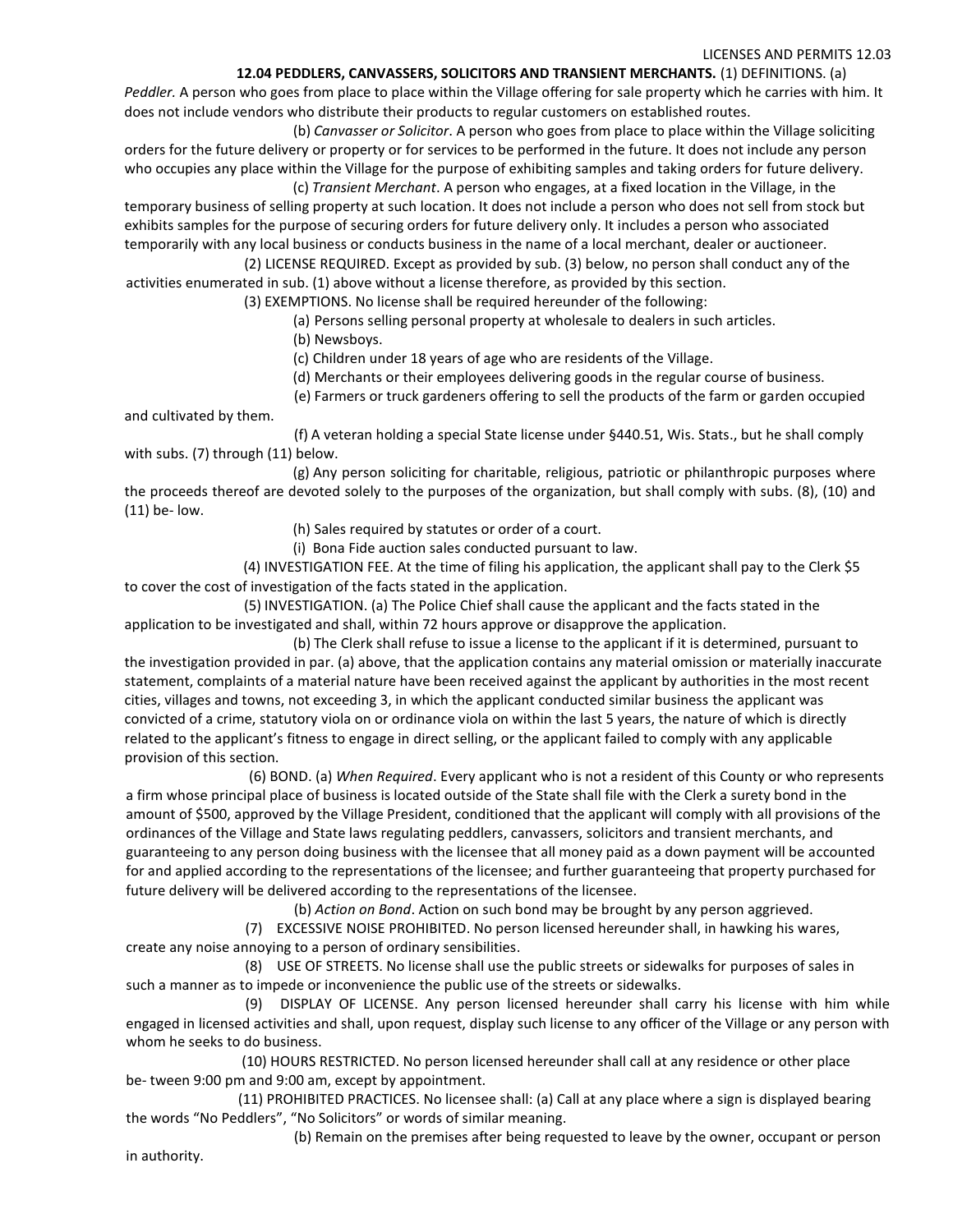## **12.04 PEDDLERS, CANVASSERS, SOLICITORS AND TRANSIENT MERCHANTS.** (1) DEFINITIONS. (a)

*Peddler.* A person who goes from place to place within the Village offering for sale property which he carries with him. It does not include vendors who distribute their products to regular customers on established routes.

(b) *Canvasser or Solicitor*. A person who goes from place to place within the Village soliciting orders for the future delivery or property or for services to be performed in the future. It does not include any person who occupies any place within the Village for the purpose of exhibiting samples and taking orders for future delivery. (c) *Transient Merchant*. A person who engages, at a fixed location in the Village, in the

temporary business of selling property at such location. It does not include a person who does not sell from stock but exhibits samples for the purpose of securing orders for future delivery only. It includes a person who associated temporarily with any local business or conducts business in the name of a local merchant, dealer or auctioneer.

(2) LICENSE REQUIRED. Except as provided by sub. (3) below, no person shall conduct any of the activities enumerated in sub. (1) above without a license therefore, as provided by this section.

(3) EXEMPTIONS. No license shall be required hereunder of the following:

(a) Persons selling personal property at wholesale to dealers in such articles.

(b) Newsboys.

and cultivated by them.

(c) Children under 18 years of age who are residents of the Village.

(d) Merchants or their employees delivering goods in the regular course of business.

(e) Farmers or truck gardeners offering to sell the products of the farm or garden occupied

(f) A veteran holding a special State license under §440.51, Wis. Stats., but he shall comply with subs. (7) through (11) below.

(g) Any person soliciting for charitable, religious, patriotic or philanthropic purposes where the proceeds thereof are devoted solely to the purposes of the organization, but shall comply with subs. (8), (10) and (11) be‐ low.

(h) Sales required by statutes or order of a court.

(i) Bona Fide auction sales conducted pursuant to law.

(4) INVESTIGATION FEE. At the time of filing his application, the applicant shall pay to the Clerk \$5 to cover the cost of investigation of the facts stated in the application.

(5) INVESTIGATION. (a) The Police Chief shall cause the applicant and the facts stated in the application to be investigated and shall, within 72 hours approve or disapprove the application.

(b) The Clerk shall refuse to issue a license to the applicant if it is determined, pursuant to the investigation provided in par. (a) above, that the application contains any material omission or materially inaccurate statement, complaints of a material nature have been received against the applicant by authorities in the most recent cities, villages and towns, not exceeding 3, in which the applicant conducted similar business the applicant was convicted of a crime, statutory viola on or ordinance viola on within the last 5 years, the nature of which is directly related to the applicant's fitness to engage in direct selling, or the applicant failed to comply with any applicable provision of this section.

(6) BOND. (a) *When Required*. Every applicant who is not a resident of this County or who represents a firm whose principal place of business is located outside of the State shall file with the Clerk a surety bond in the amount of \$500, approved by the Village President, conditioned that the applicant will comply with all provisions of the ordinances of the Village and State laws regulating peddlers, canvassers, solicitors and transient merchants, and guaranteeing to any person doing business with the licensee that all money paid as a down payment will be accounted for and applied according to the representations of the licensee; and further guaranteeing that property purchased for future delivery will be delivered according to the representations of the licensee.

(b) *Action on Bond*. Action on such bond may be brought by any person aggrieved.

(7) EXCESSIVE NOISE PROHIBITED. No person licensed hereunder shall, in hawking his wares, create any noise annoying to a person of ordinary sensibilities.

(8) USE OF STREETS. No license shall use the public streets or sidewalks for purposes of sales in such a manner as to impede or inconvenience the public use of the streets or sidewalks.

(9) DISPLAY OF LICENSE. Any person licensed hereunder shall carry his license with him while engaged in licensed activities and shall, upon request, display such license to any officer of the Village or any person with whom he seeks to do business.

(10) HOURS RESTRICTED. No person licensed hereunder shall call at any residence or other place be-tween 9:00 pm and 9:00 am, except by appointment.

(11) PROHIBITED PRACTICES. No licensee shall: (a) Call at any place where a sign is displayed bearing the words "No Peddlers", "No Solicitors" or words of similar meaning.

(b) Remain on the premises after being requested to leave by the owner, occupant or person

in authority.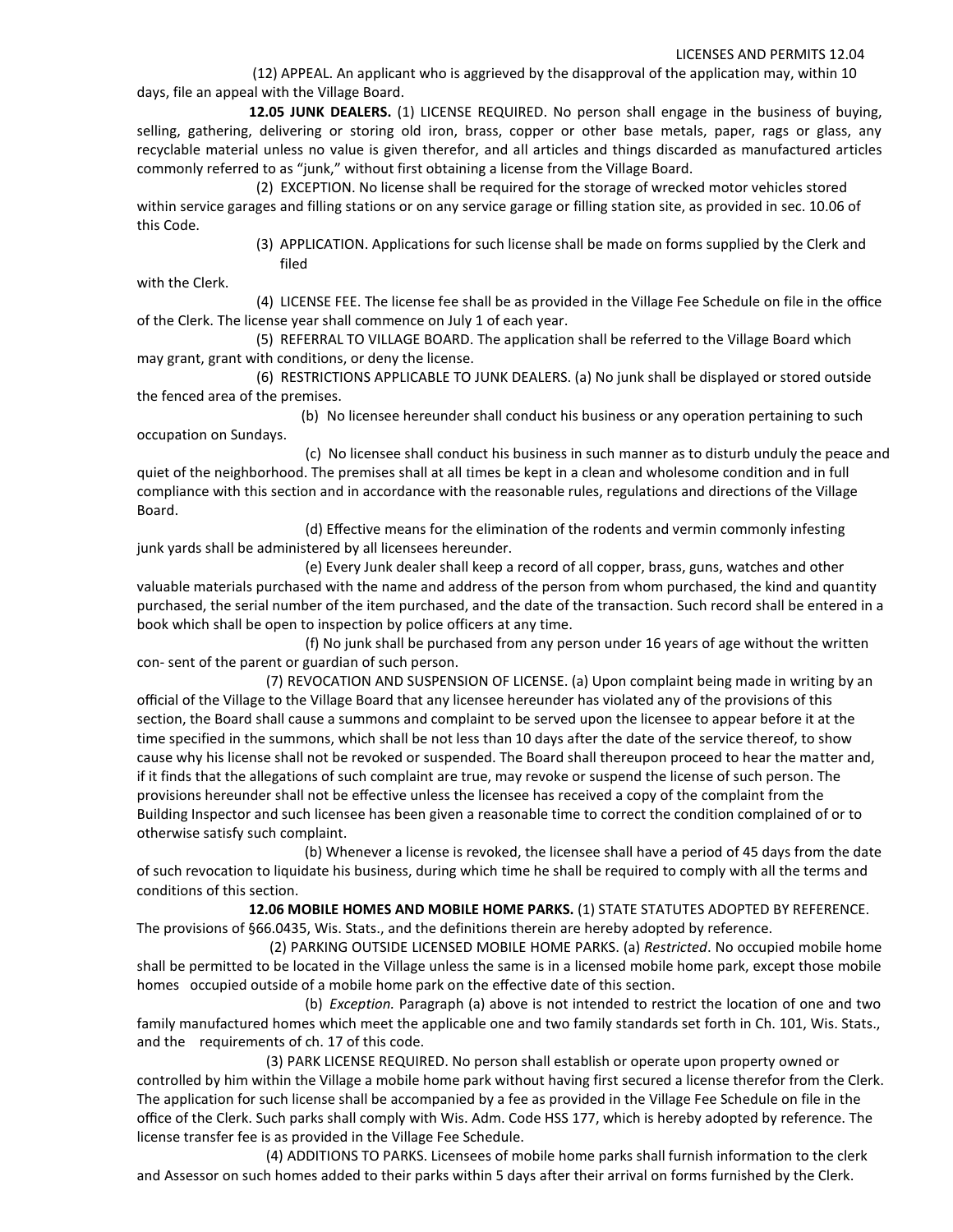(12) APPEAL. An applicant who is aggrieved by the disapproval of the application may, within 10 days, file an appeal with the Village Board.

**12.05 JUNK DEALERS.** (1) LICENSE REQUIRED. No person shall engage in the business of buying, selling, gathering, delivering or storing old iron, brass, copper or other base metals, paper, rags or glass, any recyclable material unless no value is given therefor, and all articles and things discarded as manufactured articles commonly referred to as "junk," without first obtaining a license from the Village Board.

(2) EXCEPTION. No license shall be required for the storage of wrecked motor vehicles stored within service garages and filling stations or on any service garage or filling station site, as provided in sec. 10.06 of this Code.

> (3) APPLICATION. Applications for such license shall be made on forms supplied by the Clerk and filed

with the Clerk.

(4) LICENSE FEE. The license fee shall be as provided in the Village Fee Schedule on file in the office of the Clerk. The license year shall commence on July 1 of each year.

(5) REFERRAL TO VILLAGE BOARD. The application shall be referred to the Village Board which may grant, grant with conditions, or deny the license.

(6) RESTRICTIONS APPLICABLE TO JUNK DEALERS. (a) No junk shall be displayed or stored outside the fenced area of the premises.

(b) No licensee hereunder shall conduct his business or any operation pertaining to such occupation on Sundays.

(c) No licensee shall conduct his business in such manner as to disturb unduly the peace and quiet of the neighborhood. The premises shall at all times be kept in a clean and wholesome condition and in full compliance with this section and in accordance with the reasonable rules, regulations and directions of the Village Board.

(d) Effective means for the elimination of the rodents and vermin commonly infesting junk yards shall be administered by all licensees hereunder.

(e) Every Junk dealer shall keep a record of all copper, brass, guns, watches and other valuable materials purchased with the name and address of the person from whom purchased, the kind and quantity purchased, the serial number of the item purchased, and the date of the transaction. Such record shall be entered in a book which shall be open to inspection by police officers at any time.

(f) No junk shall be purchased from any person under 16 years of age without the written con‐ sent of the parent or guardian of such person.

(7) REVOCATION AND SUSPENSION OF LICENSE. (a) Upon complaint being made in writing by an official of the Village to the Village Board that any licensee hereunder has violated any of the provisions of this section, the Board shall cause a summons and complaint to be served upon the licensee to appear before it at the time specified in the summons, which shall be not less than 10 days after the date of the service thereof, to show cause why his license shall not be revoked or suspended. The Board shall thereupon proceed to hear the matter and, if it finds that the allegations of such complaint are true, may revoke or suspend the license of such person. The provisions hereunder shall not be effective unless the licensee has received a copy of the complaint from the Building Inspector and such licensee has been given a reasonable time to correct the condition complained of or to otherwise satisfy such complaint.

(b) Whenever a license is revoked, the licensee shall have a period of 45 days from the date of such revocation to liquidate his business, during which time he shall be required to comply with all the terms and conditions of this section.

**12.06 MOBILE HOMES AND MOBILE HOME PARKS.** (1) STATE STATUTES ADOPTED BY REFERENCE. The provisions of §66.0435, Wis. Stats., and the definitions therein are hereby adopted by reference.

(2) PARKING OUTSIDE LICENSED MOBILE HOME PARKS. (a) *Restricted*. No occupied mobile home shall be permitted to be located in the Village unless the same is in a licensed mobile home park, except those mobile homes occupied outside of a mobile home park on the effective date of this section.

(b) *Exception.* Paragraph (a) above is not intended to restrict the location of one and two family manufactured homes which meet the applicable one and two family standards set forth in Ch. 101, Wis. Stats., and the requirements of ch. 17 of this code.

(3) PARK LICENSE REQUIRED. No person shall establish or operate upon property owned or controlled by him within the Village a mobile home park without having first secured a license therefor from the Clerk. The application for such license shall be accompanied by a fee as provided in the Village Fee Schedule on file in the office of the Clerk. Such parks shall comply with Wis. Adm. Code HSS 177, which is hereby adopted by reference. The license transfer fee is as provided in the Village Fee Schedule.

(4) ADDITIONS TO PARKS. Licensees of mobile home parks shall furnish information to the clerk and Assessor on such homes added to their parks within 5 days after their arrival on forms furnished by the Clerk.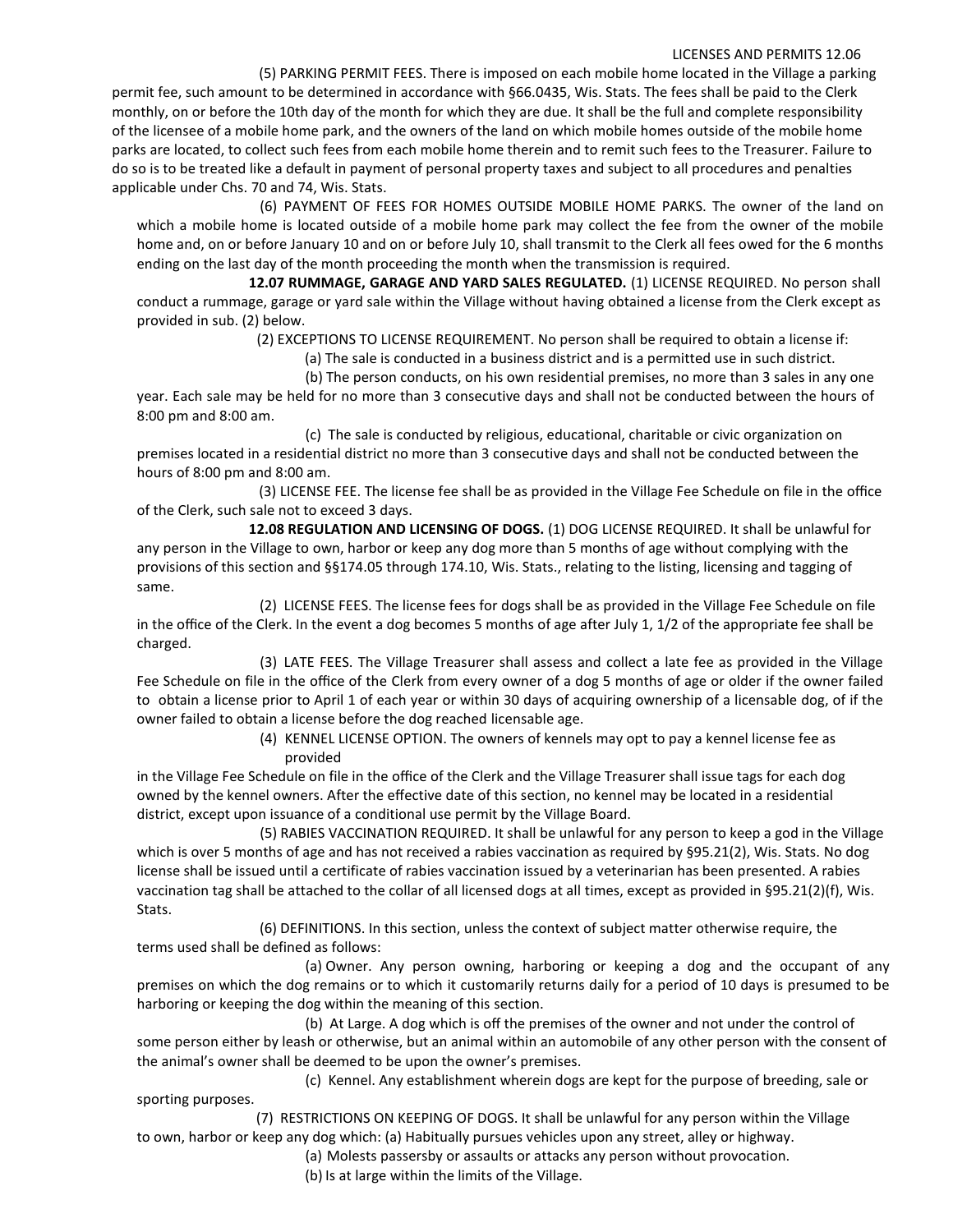(5) PARKING PERMIT FEES. There is imposed on each mobile home located in the Village a parking permit fee, such amount to be determined in accordance with §66.0435, Wis. Stats. The fees shall be paid to the Clerk monthly, on or before the 10th day of the month for which they are due. It shall be the full and complete responsibility of the licensee of a mobile home park, and the owners of the land on which mobile homes outside of the mobile home parks are located, to collect such fees from each mobile home therein and to remit such fees to the Treasurer. Failure to do so is to be treated like a default in payment of personal property taxes and subject to all procedures and penalties applicable under Chs. 70 and 74, Wis. Stats.

(6) PAYMENT OF FEES FOR HOMES OUTSIDE MOBILE HOME PARKS. The owner of the land on which a mobile home is located outside of a mobile home park may collect the fee from the owner of the mobile home and, on or before January 10 and on or before July 10, shall transmit to the Clerk all fees owed for the 6 months ending on the last day of the month proceeding the month when the transmission is required.

**12.07 RUMMAGE, GARAGE AND YARD SALES REGULATED.** (1) LICENSE REQUIRED. No person shall conduct a rummage, garage or yard sale within the Village without having obtained a license from the Clerk except as provided in sub. (2) below.

(2) EXCEPTIONS TO LICENSE REQUIREMENT. No person shall be required to obtain a license if:

(a) The sale is conducted in a business district and is a permitted use in such district.

(b) The person conducts, on his own residential premises, no more than 3 sales in any one year. Each sale may be held for no more than 3 consecutive days and shall not be conducted between the hours of 8:00 pm and 8:00 am.

(c) The sale is conducted by religious, educational, charitable or civic organization on premises located in a residential district no more than 3 consecutive days and shall not be conducted between the hours of 8:00 pm and 8:00 am.

(3) LICENSE FEE. The license fee shall be as provided in the Village Fee Schedule on file in the office of the Clerk, such sale not to exceed 3 days.

**12.08 REGULATION AND LICENSING OF DOGS.** (1) DOG LICENSE REQUIRED. It shall be unlawful for any person in the Village to own, harbor or keep any dog more than 5 months of age without complying with the provisions of this section and §§174.05 through 174.10, Wis. Stats., relating to the listing, licensing and tagging of same.

(2) LICENSE FEES. The license fees for dogs shall be as provided in the Village Fee Schedule on file in the office of the Clerk. In the event a dog becomes 5 months of age after July 1, 1/2 of the appropriate fee shall be charged.

(3) LATE FEES. The Village Treasurer shall assess and collect a late fee as provided in the Village Fee Schedule on file in the office of the Clerk from every owner of a dog 5 months of age or older if the owner failed to obtain a license prior to April 1 of each year or within 30 days of acquiring ownership of a licensable dog, of if the owner failed to obtain a license before the dog reached licensable age.

> (4) KENNEL LICENSE OPTION. The owners of kennels may opt to pay a kennel license fee as provided

in the Village Fee Schedule on file in the office of the Clerk and the Village Treasurer shall issue tags for each dog owned by the kennel owners. After the effective date of this section, no kennel may be located in a residential district, except upon issuance of a conditional use permit by the Village Board.

(5) RABIES VACCINATION REQUIRED. It shall be unlawful for any person to keep a god in the Village which is over 5 months of age and has not received a rabies vaccination as required by §95.21(2), Wis. Stats. No dog license shall be issued until a certificate of rabies vaccination issued by a veterinarian has been presented. A rabies vaccination tag shall be attached to the collar of all licensed dogs at all times, except as provided in §95.21(2)(f), Wis. Stats.

(6) DEFINITIONS. In this section, unless the context of subject matter otherwise require, the terms used shall be defined as follows:

(a) Owner. Any person owning, harboring or keeping a dog and the occupant of any premises on which the dog remains or to which it customarily returns daily for a period of 10 days is presumed to be harboring or keeping the dog within the meaning of this section.

(b) At Large. A dog which is off the premises of the owner and not under the control of some person either by leash or otherwise, but an animal within an automobile of any other person with the consent of the animal's owner shall be deemed to be upon the owner's premises.

(c) Kennel. Any establishment wherein dogs are kept for the purpose of breeding, sale or sporting purposes.

(7) RESTRICTIONS ON KEEPING OF DOGS. It shall be unlawful for any person within the Village to own, harbor or keep any dog which: (a) Habitually pursues vehicles upon any street, alley or highway.

(a) Molests passersby or assaults or attacks any person without provocation.

(b) Is at large within the limits of the Village.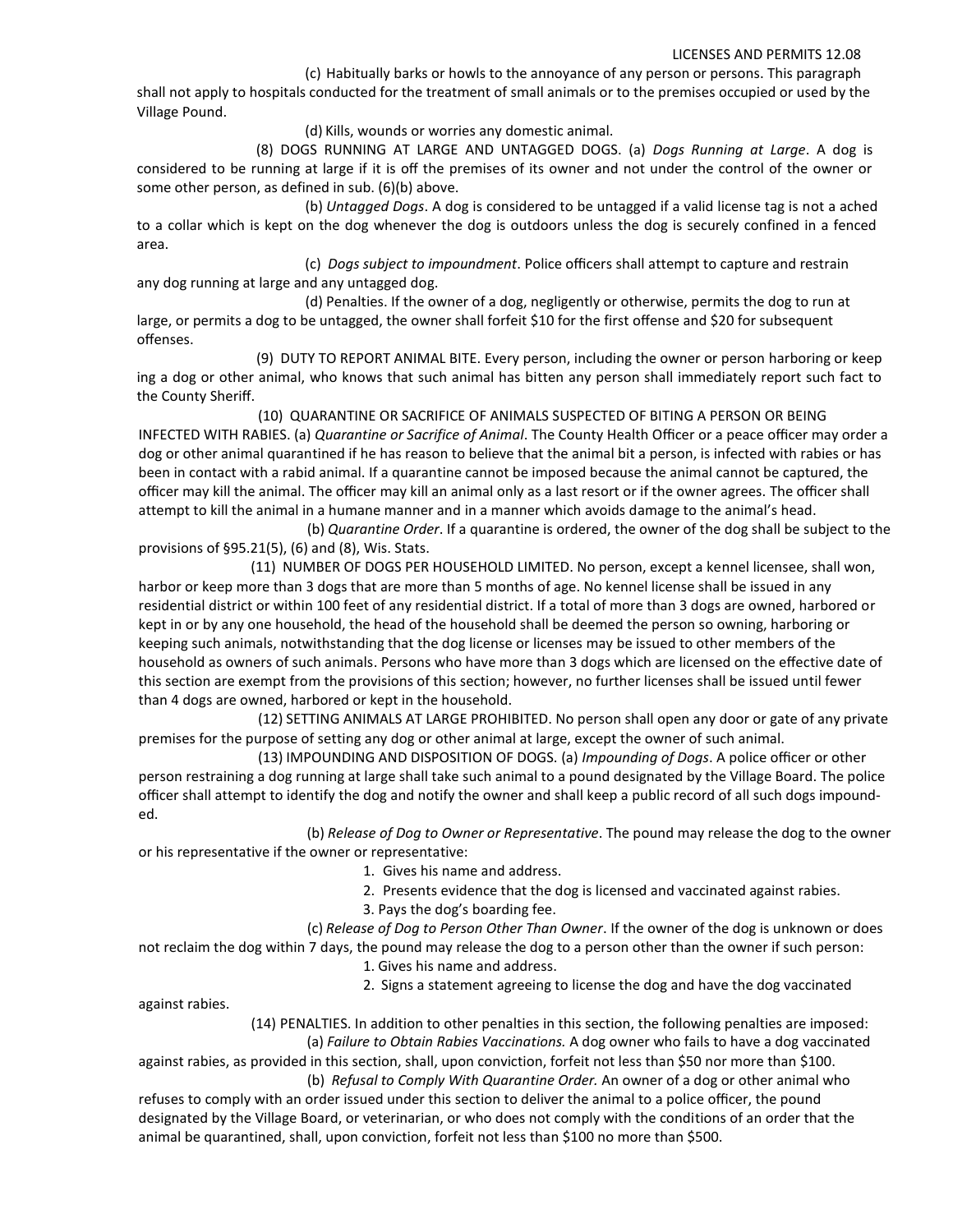(c) Habitually barks or howls to the annoyance of any person or persons. This paragraph shall not apply to hospitals conducted for the treatment of small animals or to the premises occupied or used by the Village Pound.

(d) Kills, wounds or worries any domestic animal.

(8) DOGS RUNNING AT LARGE AND UNTAGGED DOGS. (a) *Dogs Running at Large*. A dog is considered to be running at large if it is off the premises of its owner and not under the control of the owner or some other person, as defined in sub. (6)(b) above.

(b) *Untagged Dogs*. A dog is considered to be untagged if a valid license tag is not a ached to a collar which is kept on the dog whenever the dog is outdoors unless the dog is securely confined in a fenced area.

(c) *Dogs subject to impoundment*. Police officers shall attempt to capture and restrain any dog running at large and any untagged dog.

(d) Penalties. If the owner of a dog, negligently or otherwise, permits the dog to run at large, or permits a dog to be untagged, the owner shall forfeit \$10 for the first offense and \$20 for subsequent offenses.

(9) DUTY TO REPORT ANIMAL BITE. Every person, including the owner or person harboring or keep ing a dog or other animal, who knows that such animal has bitten any person shall immediately report such fact to the County Sheriff.

(10) QUARANTINE OR SACRIFICE OF ANIMALS SUSPECTED OF BITING A PERSON OR BEING INFECTED WITH RABIES. (a) *Quarantine or Sacrifice of Animal*. The County Health Officer or a peace officer may order a dog or other animal quarantined if he has reason to believe that the animal bit a person, is infected with rabies or has been in contact with a rabid animal. If a quarantine cannot be imposed because the animal cannot be captured, the officer may kill the animal. The officer may kill an animal only as a last resort or if the owner agrees. The officer shall attempt to kill the animal in a humane manner and in a manner which avoids damage to the animal's head.

(b) *Quarantine Order*. If a quarantine is ordered, the owner of the dog shall be subject to the provisions of §95.21(5), (6) and (8), Wis. Stats.

(11) NUMBER OF DOGS PER HOUSEHOLD LIMITED. No person, except a kennel licensee, shall won, harbor or keep more than 3 dogs that are more than 5 months of age. No kennel license shall be issued in any residential district or within 100 feet of any residential district. If a total of more than 3 dogs are owned, harbored or kept in or by any one household, the head of the household shall be deemed the person so owning, harboring or keeping such animals, notwithstanding that the dog license or licenses may be issued to other members of the household as owners of such animals. Persons who have more than 3 dogs which are licensed on the effective date of this section are exempt from the provisions of this section; however, no further licenses shall be issued until fewer than 4 dogs are owned, harbored or kept in the household.

(12) SETTING ANIMALS AT LARGE PROHIBITED. No person shall open any door or gate of any private premises for the purpose of setting any dog or other animal at large, except the owner of such animal.

(13) IMPOUNDING AND DISPOSITION OF DOGS. (a) *Impounding of Dogs*. A police officer or other person restraining a dog running at large shall take such animal to a pound designated by the Village Board. The police officer shall attempt to identify the dog and notify the owner and shall keep a public record of all such dogs impound‐ ed.

(b) *Release of Dog to Owner or Representative*. The pound may release the dog to the owner or his representative if the owner or representative:

- 1. Gives his name and address.
- 2. Presents evidence that the dog is licensed and vaccinated against rabies.
- 3. Pays the dog's boarding fee.

(c) *Release of Dog to Person Other Than Owner*. If the owner of the dog is unknown or does not reclaim the dog within 7 days, the pound may release the dog to a person other than the owner if such person:

- 1. Gives his name and address.
- 2. Signs a statement agreeing to license the dog and have the dog vaccinated

against rabies.

(14) PENALTIES. In addition to other penalties in this section, the following penalties are imposed:

(a) *Failure to Obtain Rabies Vaccinations.* A dog owner who fails to have a dog vaccinated

against rabies, as provided in this section, shall, upon conviction, forfeit not less than \$50 nor more than \$100. (b) *Refusal to Comply With Quarantine Order.* An owner of a dog or other animal who

refuses to comply with an order issued under this section to deliver the animal to a police officer, the pound designated by the Village Board, or veterinarian, or who does not comply with the conditions of an order that the animal be quarantined, shall, upon conviction, forfeit not less than \$100 no more than \$500.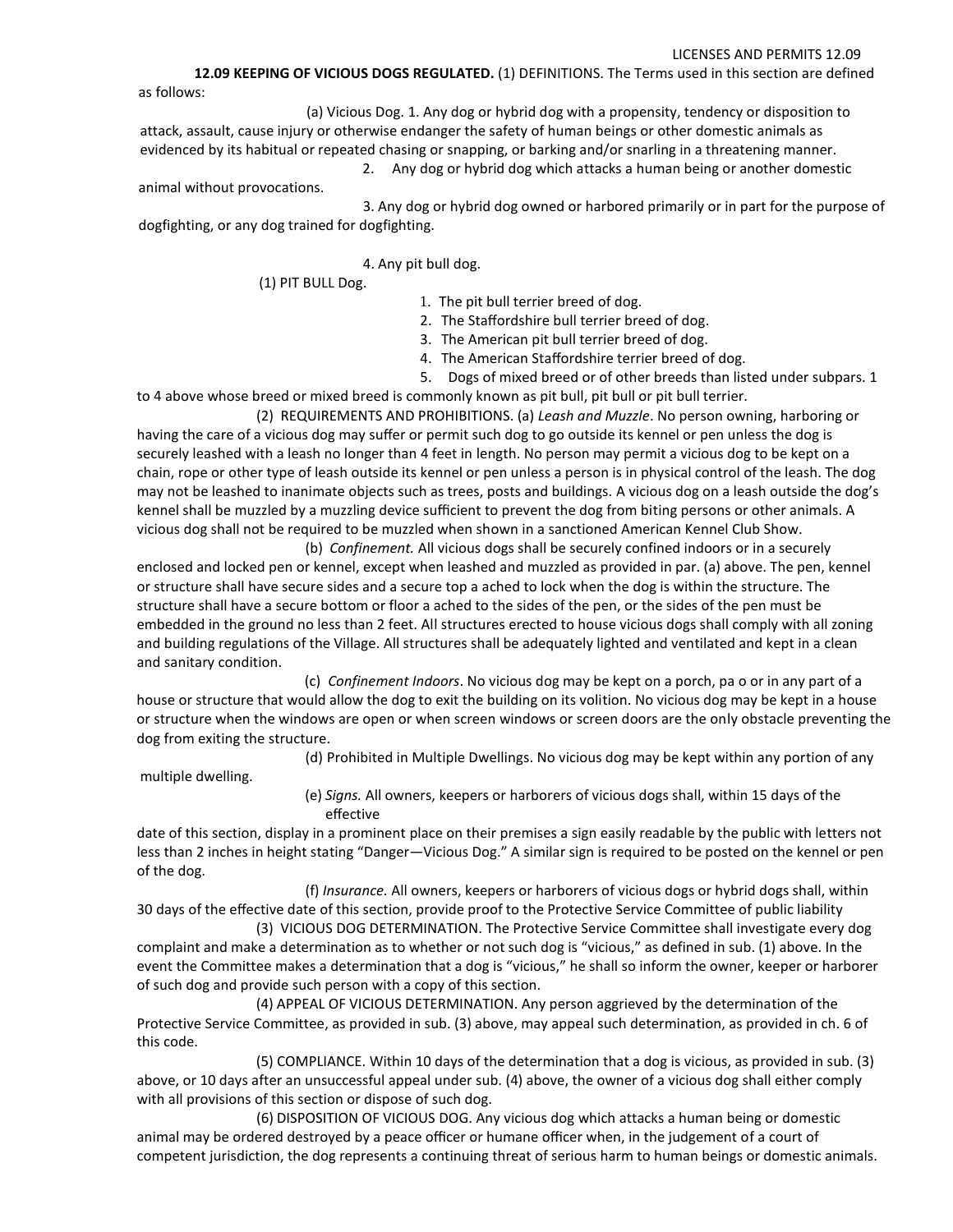**12.09 KEEPING OF VICIOUS DOGS REGULATED.** (1) DEFINITIONS. The Terms used in this section are defined as follows:

(a) Vicious Dog. 1. Any dog or hybrid dog with a propensity, tendency or disposition to attack, assault, cause injury or otherwise endanger the safety of human beings or other domestic animals as evidenced by its habitual or repeated chasing or snapping, or barking and/or snarling in a threatening manner. 2. Any dog or hybrid dog which attacks a human being or another domestic

animal without provocations.

3. Any dog or hybrid dog owned or harbored primarily or in part for the purpose of dogfighting, or any dog trained for dogfighting.

4. Any pit bull dog.

(1) PIT BULL Dog.

- 1. The pit bull terrier breed of dog.
- 2. The Staffordshire bull terrier breed of dog.
- 3. The American pit bull terrier breed of dog.
- 4. The American Staffordshire terrier breed of dog.
- 5. Dogs of mixed breed or of other breeds than listed under subpars. 1

to 4 above whose breed or mixed breed is commonly known as pit bull, pit bull or pit bull terrier. (2) REQUIREMENTS AND PROHIBITIONS. (a) *Leash and Muzzle*. No person owning, harboring or

having the care of a vicious dog may suffer or permit such dog to go outside its kennel or pen unless the dog is securely leashed with a leash no longer than 4 feet in length. No person may permit a vicious dog to be kept on a chain, rope or other type of leash outside its kennel or pen unless a person is in physical control of the leash. The dog may not be leashed to inanimate objects such as trees, posts and buildings. A vicious dog on a leash outside the dog's kennel shall be muzzled by a muzzling device sufficient to prevent the dog from biting persons or other animals. A vicious dog shall not be required to be muzzled when shown in a sanctioned American Kennel Club Show.

(b) *Confinement.* All vicious dogs shall be securely confined indoors or in a securely enclosed and locked pen or kennel, except when leashed and muzzled as provided in par. (a) above. The pen, kennel or structure shall have secure sides and a secure top a ached to lock when the dog is within the structure. The structure shall have a secure bottom or floor a ached to the sides of the pen, or the sides of the pen must be embedded in the ground no less than 2 feet. All structures erected to house vicious dogs shall comply with all zoning and building regulations of the Village. All structures shall be adequately lighted and ventilated and kept in a clean and sanitary condition.

(c) *Confinement Indoors*. No vicious dog may be kept on a porch, pa o or in any part of a house or structure that would allow the dog to exit the building on its volition. No vicious dog may be kept in a house or structure when the windows are open or when screen windows or screen doors are the only obstacle preventing the dog from exiting the structure.

(d) Prohibited in Multiple Dwellings. No vicious dog may be kept within any portion of any

multiple dwelling.

(e) *Signs.* All owners, keepers or harborers of vicious dogs shall, within 15 days of the effective

date of this section, display in a prominent place on their premises a sign easily readable by the public with letters not less than 2 inches in height stating "Danger—Vicious Dog." A similar sign is required to be posted on the kennel or pen of the dog.

(f) *Insurance.* All owners, keepers or harborers of vicious dogs or hybrid dogs shall, within 30 days of the effective date of this section, provide proof to the Protective Service Committee of public liability

(3) VICIOUS DOG DETERMINATION. The Protective Service Committee shall investigate every dog complaint and make a determination as to whether or not such dog is "vicious," as defined in sub. (1) above. In the event the Committee makes a determination that a dog is "vicious," he shall so inform the owner, keeper or harborer of such dog and provide such person with a copy of this section.

(4) APPEAL OF VICIOUS DETERMINATION. Any person aggrieved by the determination of the Protective Service Committee, as provided in sub. (3) above, may appeal such determination, as provided in ch. 6 of this code.

(5) COMPLIANCE. Within 10 days of the determination that a dog is vicious, as provided in sub. (3) above, or 10 days after an unsuccessful appeal under sub. (4) above, the owner of a vicious dog shall either comply with all provisions of this section or dispose of such dog.

(6) DISPOSITION OF VICIOUS DOG. Any vicious dog which attacks a human being or domestic animal may be ordered destroyed by a peace officer or humane officer when, in the judgement of a court of competent jurisdiction, the dog represents a continuing threat of serious harm to human beings or domestic animals.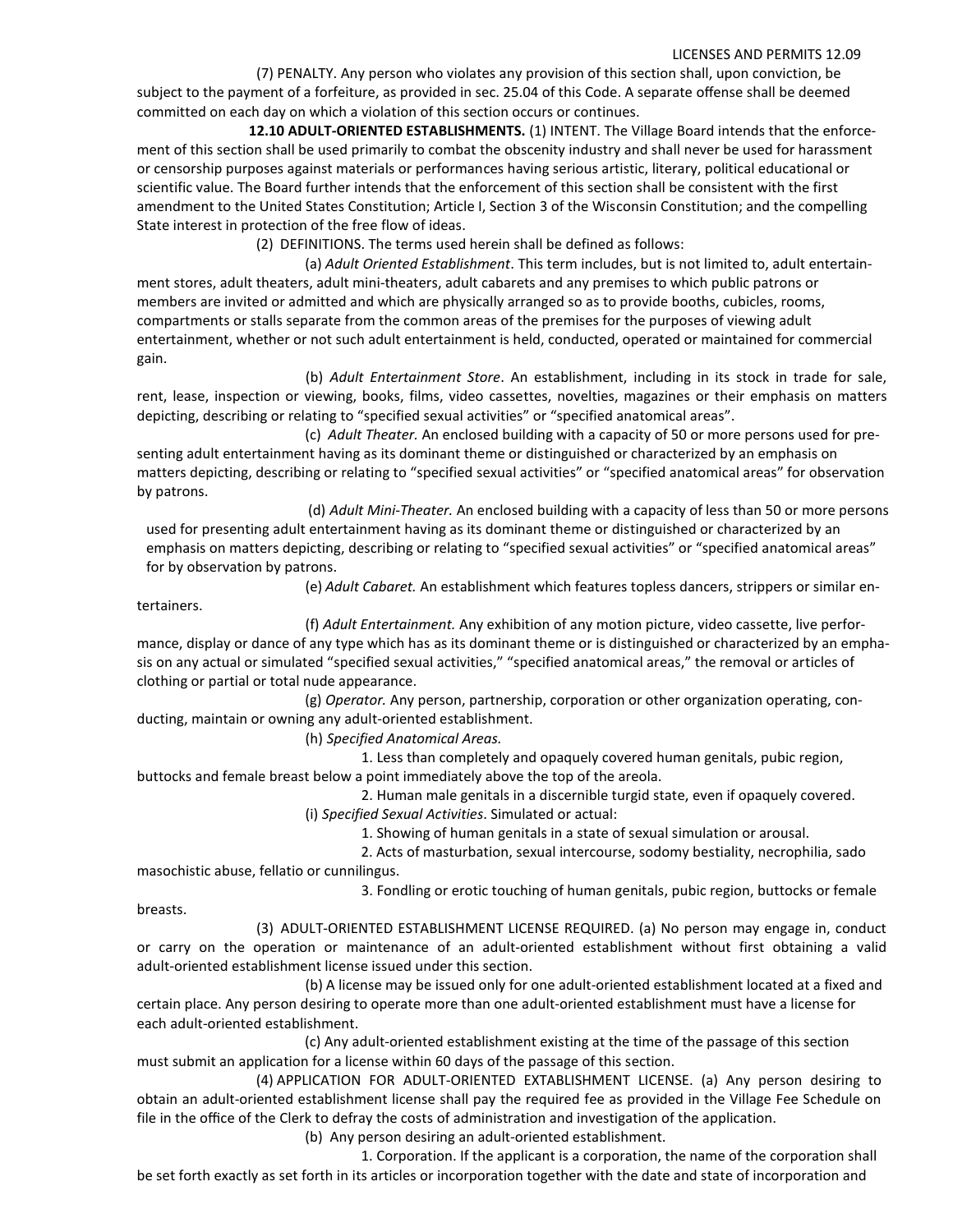(7) PENALTY. Any person who violates any provision of this section shall, upon conviction, be subject to the payment of a forfeiture, as provided in sec. 25.04 of this Code. A separate offense shall be deemed committed on each day on which a violation of this section occurs or continues.

**12.10 ADULT‐ORIENTED ESTABLISHMENTS.** (1) INTENT. The Village Board intends that the enforce‐ ment of this section shall be used primarily to combat the obscenity industry and shall never be used for harassment or censorship purposes against materials or performances having serious artistic, literary, political educational or scientific value. The Board further intends that the enforcement of this section shall be consistent with the first amendment to the United States Constitution; Article I, Section 3 of the Wisconsin Constitution; and the compelling State interest in protection of the free flow of ideas.

(2) DEFINITIONS. The terms used herein shall be defined as follows:

(a) *Adult Oriented Establishment*. This term includes, but is not limited to, adult entertain‐ ment stores, adult theaters, adult mini‐theaters, adult cabarets and any premises to which public patrons or members are invited or admitted and which are physically arranged so as to provide booths, cubicles, rooms, compartments or stalls separate from the common areas of the premises for the purposes of viewing adult entertainment, whether or not such adult entertainment is held, conducted, operated or maintained for commercial gain.

(b) *Adult Entertainment Store*. An establishment, including in its stock in trade for sale, rent, lease, inspection or viewing, books, films, video cassettes, novelties, magazines or their emphasis on matters depicting, describing or relating to "specified sexual activities" or "specified anatomical areas".

(c) *Adult Theater.* An enclosed building with a capacity of 50 or more persons used for pre‐ senting adult entertainment having as its dominant theme or distinguished or characterized by an emphasis on matters depicting, describing or relating to "specified sexual activities" or "specified anatomical areas" for observation by patrons.

(d) *Adult Mini‐Theater.* An enclosed building with a capacity of less than 50 or more persons used for presenting adult entertainment having as its dominant theme or distinguished or characterized by an emphasis on matters depicting, describing or relating to "specified sexual activities" or "specified anatomical areas" for by observation by patrons.

(e) *Adult Cabaret.* An establishment which features topless dancers, strippers or similar en‐

tertainers.

(f) *Adult Entertainment.* Any exhibition of any motion picture, video cassette, live perfor‐ mance, display or dance of any type which has as its dominant theme or is distinguished or characterized by an emphasis on any actual or simulated "specified sexual activities," "specified anatomical areas," the removal or articles of clothing or partial or total nude appearance.

(g) *Operator.* Any person, partnership, corporation or other organization operating, con‐ ducting, maintain or owning any adult‐oriented establishment.

(h) *Specified Anatomical Areas.*

1. Less than completely and opaquely covered human genitals, pubic region, buttocks and female breast below a point immediately above the top of the areola.

2. Human male genitals in a discernible turgid state, even if opaquely covered.

(i) *Specified Sexual Activities*. Simulated or actual:

1. Showing of human genitals in a state of sexual simulation or arousal.

2. Acts of masturbation, sexual intercourse, sodomy bestiality, necrophilia, sado

masochistic abuse, fellatio or cunnilingus.

3. Fondling or erotic touching of human genitals, pubic region, buttocks or female

breasts.

(3) ADULT‐ORIENTED ESTABLISHMENT LICENSE REQUIRED. (a) No person may engage in, conduct or carry on the operation or maintenance of an adult‐oriented establishment without first obtaining a valid adult-oriented establishment license issued under this section.

(b) A license may be issued only for one adult‐oriented establishment located at a fixed and certain place. Any person desiring to operate more than one adult‐oriented establishment must have a license for each adult‐oriented establishment.

(c) Any adult‐oriented establishment existing at the time of the passage of this section must submit an application for a license within 60 days of the passage of this section.

(4) APPLICATION FOR ADULT‐ORIENTED EXTABLISHMENT LICENSE. (a) Any person desiring to obtain an adult‐oriented establishment license shall pay the required fee as provided in the Village Fee Schedule on file in the office of the Clerk to defray the costs of administration and investigation of the application.

(b) Any person desiring an adult‐oriented establishment.

1. Corporation. If the applicant is a corporation, the name of the corporation shall be set forth exactly as set forth in its articles or incorporation together with the date and state of incorporation and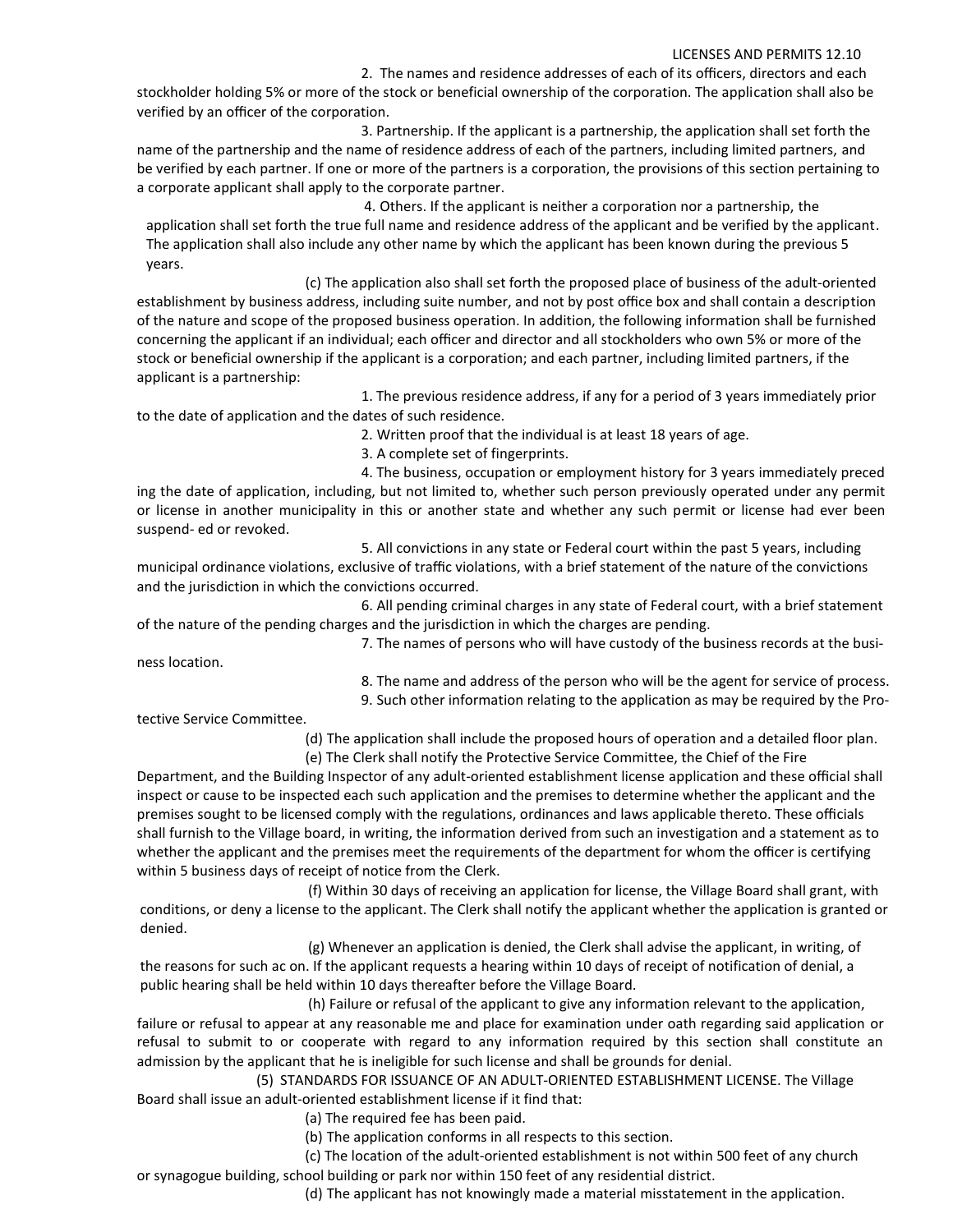2. The names and residence addresses of each of its officers, directors and each stockholder holding 5% or more of the stock or beneficial ownership of the corporation. The application shall also be verified by an officer of the corporation.

3. Partnership. If the applicant is a partnership, the application shall set forth the name of the partnership and the name of residence address of each of the partners, including limited partners, and be verified by each partner. If one or more of the partners is a corporation, the provisions of this section pertaining to a corporate applicant shall apply to the corporate partner.

4. Others. If the applicant is neither a corporation nor a partnership, the application shall set forth the true full name and residence address of the applicant and be verified by the applicant. The application shall also include any other name by which the applicant has been known during the previous 5 years.

(c) The application also shall set forth the proposed place of business of the adult‐oriented establishment by business address, including suite number, and not by post office box and shall contain a description of the nature and scope of the proposed business operation. In addition, the following information shall be furnished concerning the applicant if an individual; each officer and director and all stockholders who own 5% or more of the stock or beneficial ownership if the applicant is a corporation; and each partner, including limited partners, if the applicant is a partnership:

1. The previous residence address, if any for a period of 3 years immediately prior to the date of application and the dates of such residence.

2. Written proof that the individual is at least 18 years of age.

3. A complete set of fingerprints.

4. The business, occupation or employment history for 3 years immediately preced ing the date of application, including, but not limited to, whether such person previously operated under any permit or license in another municipality in this or another state and whether any such permit or license had ever been suspend‐ ed or revoked.

5. All convictions in any state or Federal court within the past 5 years, including municipal ordinance violations, exclusive of traffic violations, with a brief statement of the nature of the convictions and the jurisdiction in which the convictions occurred.

6. All pending criminal charges in any state of Federal court, with a brief statement of the nature of the pending charges and the jurisdiction in which the charges are pending.

ness location.

7. The names of persons who will have custody of the business records at the busi-

8. The name and address of the person who will be the agent for service of process.

9. Such other information relating to the application as may be required by the Pro‐

tective Service Committee.

(d) The application shall include the proposed hours of operation and a detailed floor plan.

(e) The Clerk shall notify the Protective Service Committee, the Chief of the Fire

Department, and the Building Inspector of any adult‐oriented establishment license application and these official shall inspect or cause to be inspected each such application and the premises to determine whether the applicant and the premises sought to be licensed comply with the regulations, ordinances and laws applicable thereto. These officials shall furnish to the Village board, in writing, the information derived from such an investigation and a statement as to whether the applicant and the premises meet the requirements of the department for whom the officer is certifying within 5 business days of receipt of notice from the Clerk.

(f) Within 30 days of receiving an application for license, the Village Board shall grant, with conditions, or deny a license to the applicant. The Clerk shall notify the applicant whether the application is granted or denied.

(g) Whenever an application is denied, the Clerk shall advise the applicant, in writing, of the reasons for such ac on. If the applicant requests a hearing within 10 days of receipt of notification of denial, a public hearing shall be held within 10 days thereafter before the Village Board.

(h) Failure or refusal of the applicant to give any information relevant to the application, failure or refusal to appear at any reasonable me and place for examination under oath regarding said application or refusal to submit to or cooperate with regard to any information required by this section shall constitute an admission by the applicant that he is ineligible for such license and shall be grounds for denial.

(5) STANDARDS FOR ISSUANCE OF AN ADULT‐ORIENTED ESTABLISHMENT LICENSE. The Village Board shall issue an adult‐oriented establishment license if it find that:

- (a) The required fee has been paid.
- (b) The application conforms in all respects to this section.

(c) The location of the adult‐oriented establishment is not within 500 feet of any church

or synagogue building, school building or park nor within 150 feet of any residential district.

(d) The applicant has not knowingly made a material misstatement in the application.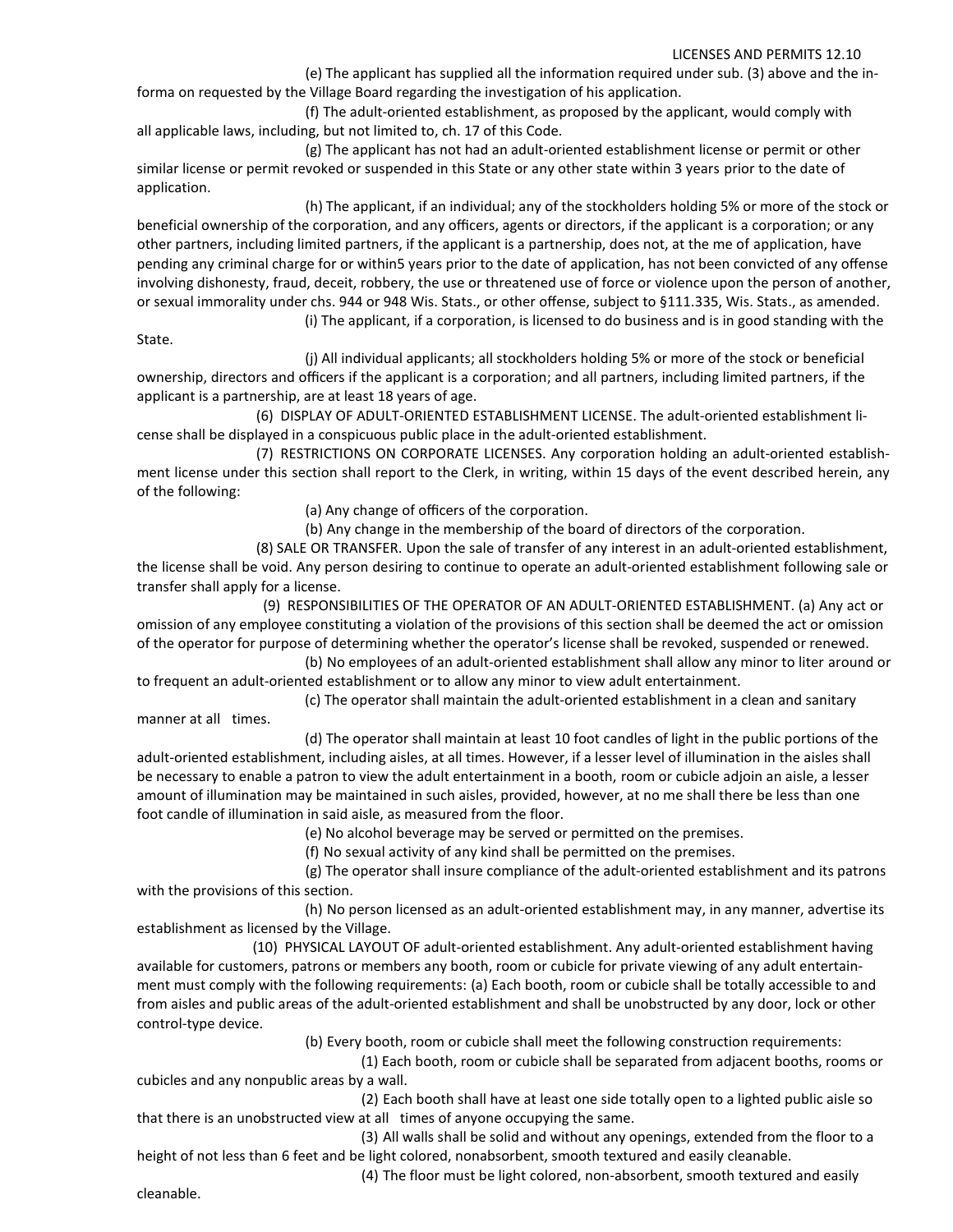(e) The applicant has supplied all the information required under sub. (3) above and the in‐ forma on requested by the Village Board regarding the investigation of his application.

(f) The adult‐oriented establishment, as proposed by the applicant, would comply with all applicable laws, including, but not limited to, ch. 17 of this Code.

(g) The applicant has not had an adult‐oriented establishment license or permit or other similar license or permit revoked or suspended in this State or any other state within 3 years prior to the date of application.

(h) The applicant, if an individual; any of the stockholders holding 5% or more of the stock or beneficial ownership of the corporation, and any officers, agents or directors, if the applicant is a corporation; or any other partners, including limited partners, if the applicant is a partnership, does not, at the me of application, have pending any criminal charge for or within5 years prior to the date of application, has not been convicted of any offense involving dishonesty, fraud, deceit, robbery, the use or threatened use of force or violence upon the person of another, or sexual immorality under chs. 944 or 948 Wis. Stats., or other offense, subject to §111.335, Wis. Stats., as amended.

(i) The applicant, if a corporation, is licensed to do business and is in good standing with the

State.

(j) All individual applicants; all stockholders holding 5% or more of the stock or beneficial ownership, directors and officers if the applicant is a corporation; and all partners, including limited partners, if the applicant is a partnership, are at least 18 years of age.

(6) DISPLAY OF ADULT‐ORIENTED ESTABLISHMENT LICENSE. The adult‐oriented establishment li‐ cense shall be displayed in a conspicuous public place in the adult‐oriented establishment.

(7) RESTRICTIONS ON CORPORATE LICENSES. Any corporation holding an adult‐oriented establish‐ ment license under this section shall report to the Clerk, in writing, within 15 days of the event described herein, any of the following:

(a) Any change of officers of the corporation.

(b) Any change in the membership of the board of directors of the corporation.

(8) SALE OR TRANSFER. Upon the sale of transfer of any interest in an adult‐oriented establishment,

the license shall be void. Any person desiring to continue to operate an adult‐oriented establishment following sale or transfer shall apply for a license.

(9) RESPONSIBILITIES OF THE OPERATOR OF AN ADULT‐ORIENTED ESTABLISHMENT. (a) Any act or omission of any employee constituting a violation of the provisions of this section shall be deemed the act or omission of the operator for purpose of determining whether the operator's license shall be revoked, suspended or renewed.

(b) No employees of an adult‐oriented establishment shall allow any minor to liter around or to frequent an adult‐oriented establishment or to allow any minor to view adult entertainment.

(c) The operator shall maintain the adult‐oriented establishment in a clean and sanitary manner at all times.

(d) The operator shall maintain at least 10 foot candles of light in the public portions of the adult‐oriented establishment, including aisles, at all times. However, if a lesser level of illumination in the aisles shall be necessary to enable a patron to view the adult entertainment in a booth, room or cubicle adjoin an aisle, a lesser amount of illumination may be maintained in such aisles, provided, however, at no me shall there be less than one foot candle of illumination in said aisle, as measured from the floor.

(e) No alcohol beverage may be served or permitted on the premises.

(f) No sexual activity of any kind shall be permitted on the premises.

(g) The operator shall insure compliance of the adult‐oriented establishment and its patrons with the provisions of this section.

(h) No person licensed as an adult‐oriented establishment may, in any manner, advertise its establishment as licensed by the Village.

(10) PHYSICAL LAYOUT OF adult‐oriented establishment. Any adult‐oriented establishment having available for customers, patrons or members any booth, room or cubicle for private viewing of any adult entertain‐ ment must comply with the following requirements: (a) Each booth, room or cubicle shall be totally accessible to and from aisles and public areas of the adult‐oriented establishment and shall be unobstructed by any door, lock or other control‐type device.

(b) Every booth, room or cubicle shall meet the following construction requirements:

(1) Each booth, room or cubicle shall be separated from adjacent booths, rooms or cubicles and any nonpublic areas by a wall.

(2) Each booth shall have at least one side totally open to a lighted public aisle so that there is an unobstructed view at all times of anyone occupying the same.

(3) All walls shall be solid and without any openings, extended from the floor to a height of not less than 6 feet and be light colored, nonabsorbent, smooth textured and easily cleanable.

(4) The floor must be light colored, non-absorbent, smooth textured and easily

cleanable.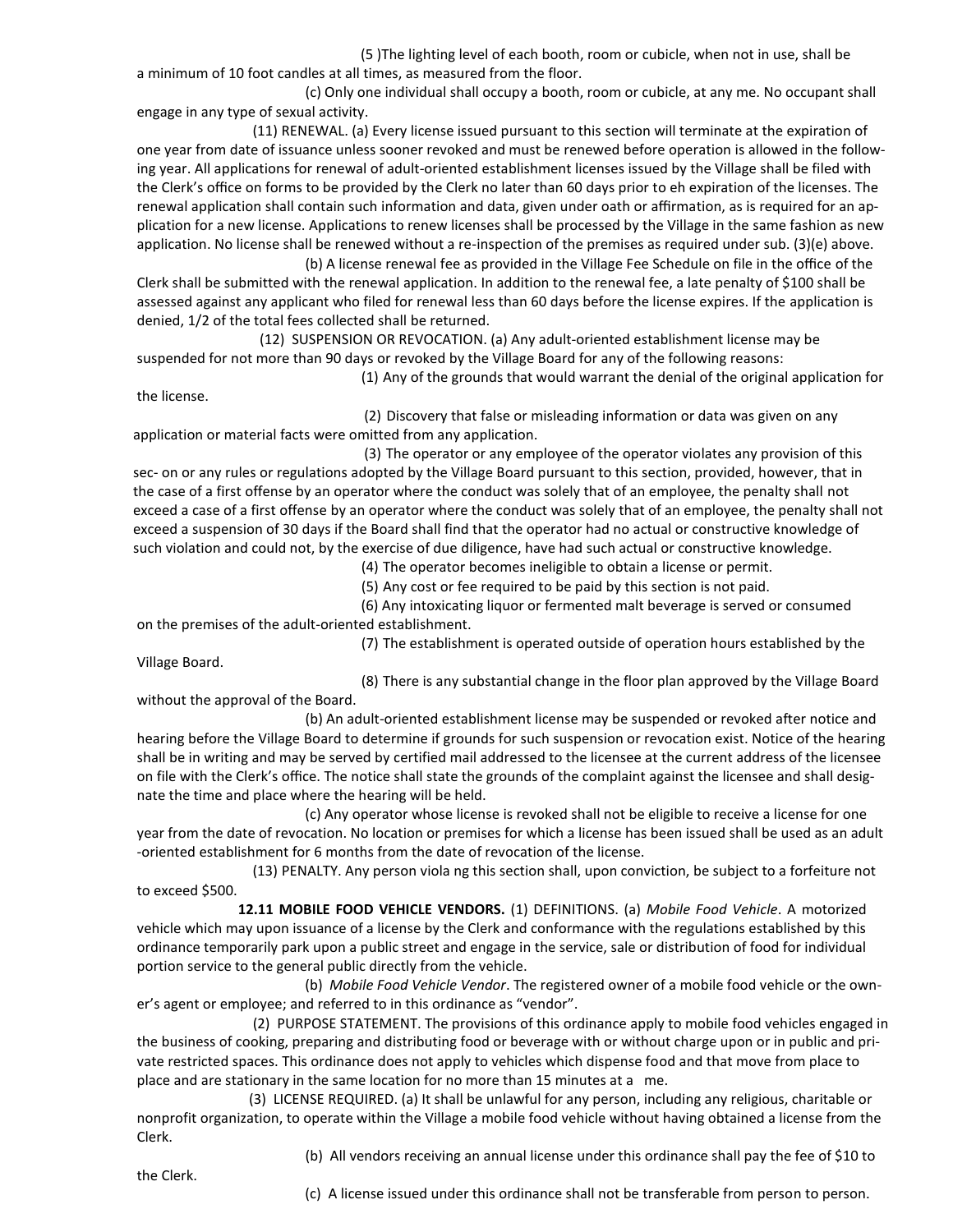(5 )The lighting level of each booth, room or cubicle, when not in use, shall be a minimum of 10 foot candles at all times, as measured from the floor.

(c) Only one individual shall occupy a booth, room or cubicle, at any me. No occupant shall engage in any type of sexual activity.

(11) RENEWAL. (a) Every license issued pursuant to this section will terminate at the expiration of one year from date of issuance unless sooner revoked and must be renewed before operation is allowed in the follow‐ ing year. All applications for renewal of adult‐oriented establishment licenses issued by the Village shall be filed with the Clerk's office on forms to be provided by the Clerk no later than 60 days prior to eh expiration of the licenses. The renewal application shall contain such information and data, given under oath or affirmation, as is required for an ap‐ plication for a new license. Applications to renew licenses shall be processed by the Village in the same fashion as new application. No license shall be renewed without a re-inspection of the premises as required under sub. (3)(e) above.

(b) A license renewal fee as provided in the Village Fee Schedule on file in the office of the Clerk shall be submitted with the renewal application. In addition to the renewal fee, a late penalty of \$100 shall be assessed against any applicant who filed for renewal less than 60 days before the license expires. If the application is denied, 1/2 of the total fees collected shall be returned.

(12) SUSPENSION OR REVOCATION. (a) Any adult‐oriented establishment license may be suspended for not more than 90 days or revoked by the Village Board for any of the following reasons:

(1) Any of the grounds that would warrant the denial of the original application for the license.

(2) Discovery that false or misleading information or data was given on any application or material facts were omitted from any application.

(3) The operator or any employee of the operator violates any provision of this sec- on or any rules or regulations adopted by the Village Board pursuant to this section, provided, however, that in the case of a first offense by an operator where the conduct was solely that of an employee, the penalty shall not exceed a case of a first offense by an operator where the conduct was solely that of an employee, the penalty shall not exceed a suspension of 30 days if the Board shall find that the operator had no actual or constructive knowledge of such violation and could not, by the exercise of due diligence, have had such actual or constructive knowledge.

(4) The operator becomes ineligible to obtain a license or permit.

(5) Any cost or fee required to be paid by this section is not paid.

(6) Any intoxicating liquor or fermented malt beverage is served or consumed on the premises of the adult‐oriented establishment.

Village Board.

(7) The establishment is operated outside of operation hours established by the

(8) There is any substantial change in the floor plan approved by the Village Board without the approval of the Board.

(b) An adult‐oriented establishment license may be suspended or revoked after notice and hearing before the Village Board to determine if grounds for such suspension or revocation exist. Notice of the hearing shall be in writing and may be served by certified mail addressed to the licensee at the current address of the licensee on file with the Clerk's office. The notice shall state the grounds of the complaint against the licensee and shall desig‐ nate the time and place where the hearing will be held.

(c) Any operator whose license is revoked shall not be eligible to receive a license for one year from the date of revocation. No location or premises for which a license has been issued shall be used as an adult ‐oriented establishment for 6 months from the date of revocation of the license.

(13) PENALTY. Any person viola ng this section shall, upon conviction, be subject to a forfeiture not to exceed \$500.

**12.11 MOBILE FOOD VEHICLE VENDORS.** (1) DEFINITIONS. (a) *Mobile Food Vehicle*. A motorized vehicle which may upon issuance of a license by the Clerk and conformance with the regulations established by this ordinance temporarily park upon a public street and engage in the service, sale or distribution of food for individual portion service to the general public directly from the vehicle.

(b) *Mobile Food Vehicle Vendor*. The registered owner of a mobile food vehicle or the own‐ er's agent or employee; and referred to in this ordinance as "vendor".

(2) PURPOSE STATEMENT. The provisions of this ordinance apply to mobile food vehicles engaged in the business of cooking, preparing and distributing food or beverage with or without charge upon or in public and pri‐ vate restricted spaces. This ordinance does not apply to vehicles which dispense food and that move from place to place and are stationary in the same location for no more than 15 minutes at a me.

(3) LICENSE REQUIRED. (a) It shall be unlawful for any person, including any religious, charitable or nonprofit organization, to operate within the Village a mobile food vehicle without having obtained a license from the Clerk.

(b) All vendors receiving an annual license under this ordinance shall pay the fee of \$10 to

the Clerk.

(c) A license issued under this ordinance shall not be transferable from person to person.